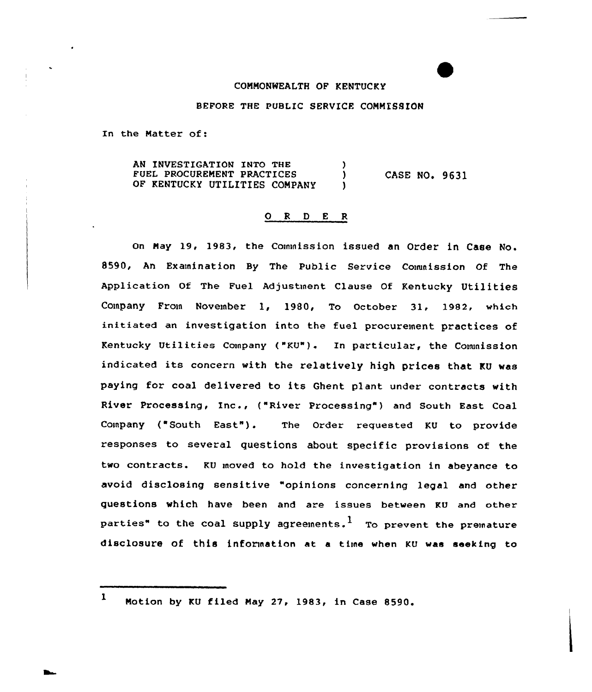## COMMONWEALTH OF KENTUCKY

## BFFORE THE PUBLIC SERVICE COMMISSION

In the Matter of:

AN INVESTIGATION INTO THE )<br>FUEL PROCUREMENT PRACTICES ) FUEL PROCUREMENT PRACTICES OF KENTUCKY UTILITIES COMPANY CASE NO. 9631

## 0 <sup>R</sup> <sup>D</sup> E <sup>R</sup>

On May 19, 1983, the Commission issued an Order in Case No. 8590, An Examination By The Public Service Commission Of The Application Of The Fuel Adjustment Clause Of Kentucky Utilities Company From November 1, 1980, To October 31, 1982, which initiated an investigation into the fuel procurement practices of Kentucky Utilities Company ("KU"). In particular, the Commission indicated its concern with the relatively high prices that KU was paying for coal delivered to its Ghent plant under contracts with River Processing, Inc., ("River Processing") and South East Coal Company ("South East"). The Order requested KU to provide responses to several questions about specific provisions of the two contracts. KU moved to hold the investigation in abeyance to avoid disclosing sensitive "opinions concerning legal and other questions which have been and are issues between KU and other parties" to the coal supply agreements.<sup>1</sup> To prevent the premature disclosure of this information at a time when KU was seeking to

 $1$  Motion by KU filed May 27, 1983, in Case 8590.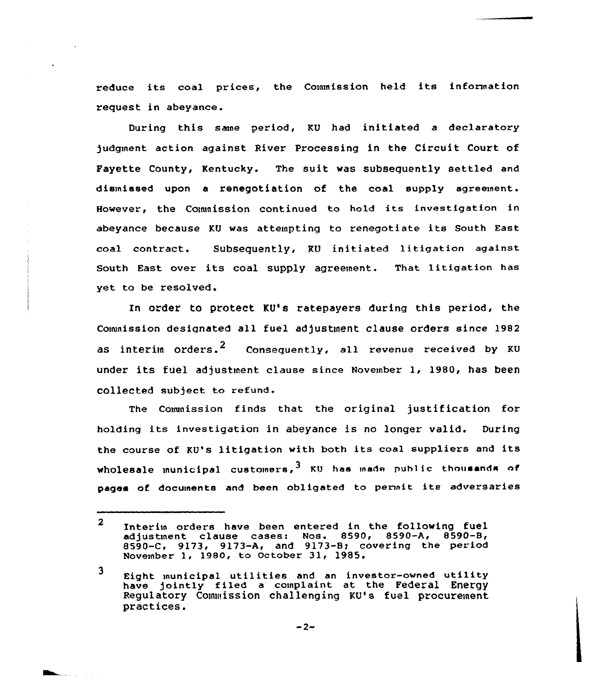reduce its coal prices, the Commission held its information request in abeyance.

During this same period, KU had initiated a declaratory 5udgment action against River Processing in the Circuit Court of Payette County, Kentucky. The suit was subsequently settled and dismissed upon a renegotiation of the coal supply agreement. However, the Commission continued to hold its investigation in abeyance because KU was attempting to renegotiate its South East coal contract. Subsequently, KU initiated litigation against South East over its coal supply agreement. That litigation has yet to be resolved.

In order to protect KU's ratepayers during this period, the Commission designated all fuel adjustment clause orders since 1982 as interim orders.<sup>2</sup> Consequently, all revenue received by KU under its fuel adjustment clause since November 1, 1980, has been collected subject to refund.

The Conunissian finds that the original justification for holding its investigation in abeyance is no longer valid. During the course of KV's litigation with both its coal suppliers and its wholesale municipal customers,  $3 \times 10^{-4}$  ku has made public thousands of pages of documents and been obligated to permit its adversaries

 $\overline{2}$ Interim orders have been entered in the following fuel adjustment clause cases: Nos. 8590, 8590-A, 8590-8, 8590-C, 9173, 9173-A, and 9173-Bg covering the period November 1, 1980, to October 31, 1985.

<sup>3</sup> Eight municipal utilities and an investor-owned utility have jointly filed a complaint at the Federal Energy Regulatory Commission challenging KU's fuel procurement. practices.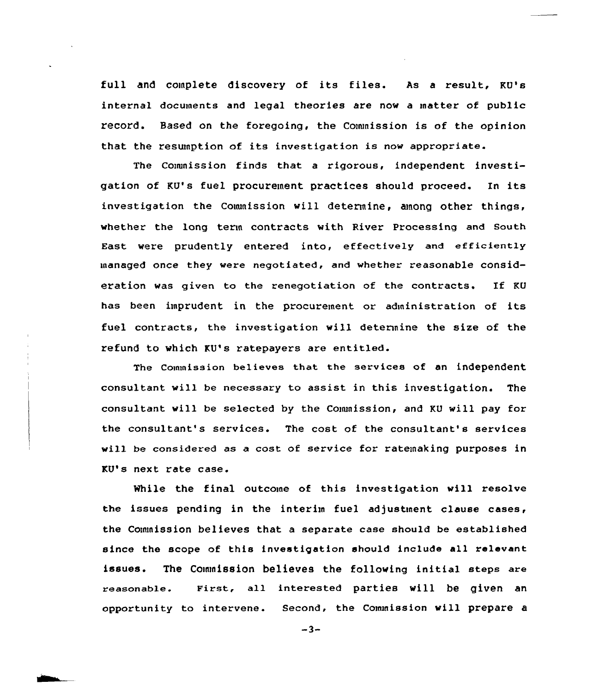full and complete discovery of its files. As a result, KU's internal documents and legal theories are nov a matter of public record. Based on the foregoing, the Cownission is of the opinion that the resunption of its investigation is now appropriate.

The Comunission finds that a rigorous, independent investigation of KU's fuel procurement practices should proceed. In its investigation the Commission will determine, among other things, whether the long term contracts with River Processing and South East were prudently entered into, effectively and efficiently managed once they vere negotiated, and whether reasonable consideration was given to the renegotiation of the contracts. If KU has been imprudent in the procurement or administration of its fuel contracts, the investigation will determine the size of the refund to which KU's ratepayers are entitled.

The Commission believes that the services of an independent consultant vill be necessary to assist in this investigation. The consultant will be selected by the Commission, and KU will pay for the consultant's services. The cost of the consultant's services will be considered as a ccst of service for ratemaking purposes in KU's next rate case.

While the final outcome of this investigation vill resolve the issues pending in the interim fuel adjustment clause cases, the Commission believes that a separate case should be established since the scope of this investigation should include all relevant issues. The Commission believes the following initial steps are reasonable. First, all interested parties will be given an opportunity to intervene. Second, the Commission will prepare a

 $-3-$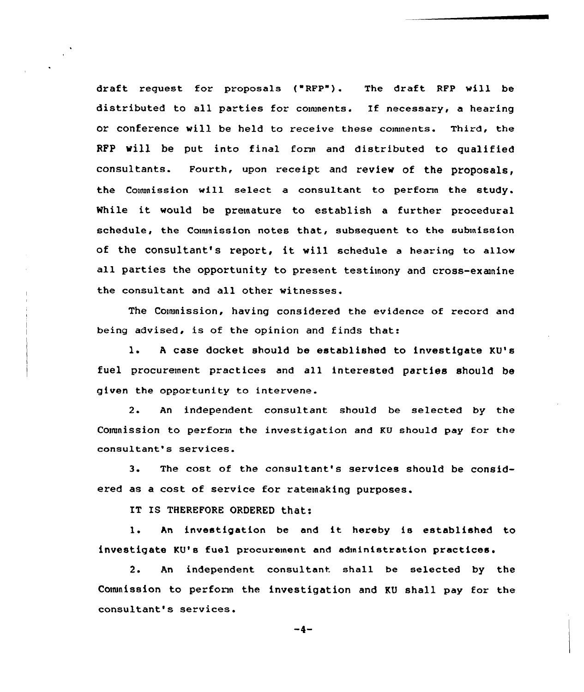draft request for proposals ("RFP"). The draft RFP will be distributed to all parties for comments. If necessary, a hearing or conference will be held to receive these comments. Third, the RFP will be put into final form and distributed to qualified consultants. Fourth, upon receipt and review of the proposals, the Commission will select a consultant to perform the study. While it would be premature to establish <sup>a</sup> further procedural schedule, the Commission notes that, subsequent to the submission Of the COnSultant'S repOrt, it will schedule <sup>a</sup> hearing to allow all parties the opportunity to present testimony and cross-examine the consultant and all other witnesses.

The Cownission, having considered the evidence of record and being advised, is of the opinion and finds that:

l. <sup>A</sup> case docket should be established to investigate KU's fuel procurement practices and all interested parties should be given the opportunity to intervene.

2. An independent consultant should be selected by the Conanission to perform the investigation and KU should pay for the consultant's services.

3. The cost of the consultant's services should be considered as a cost of service for ratemaking purposes.

IT IS THEREfORE ORDERED that:

l. An investigation be and it hereby is established to investigate KU's fuel procurement and administration practices.

2. An independent consultant shall be selected by the Couunission to perform the investigation and KU shall pay for the consultant's services.

$$
-4-
$$